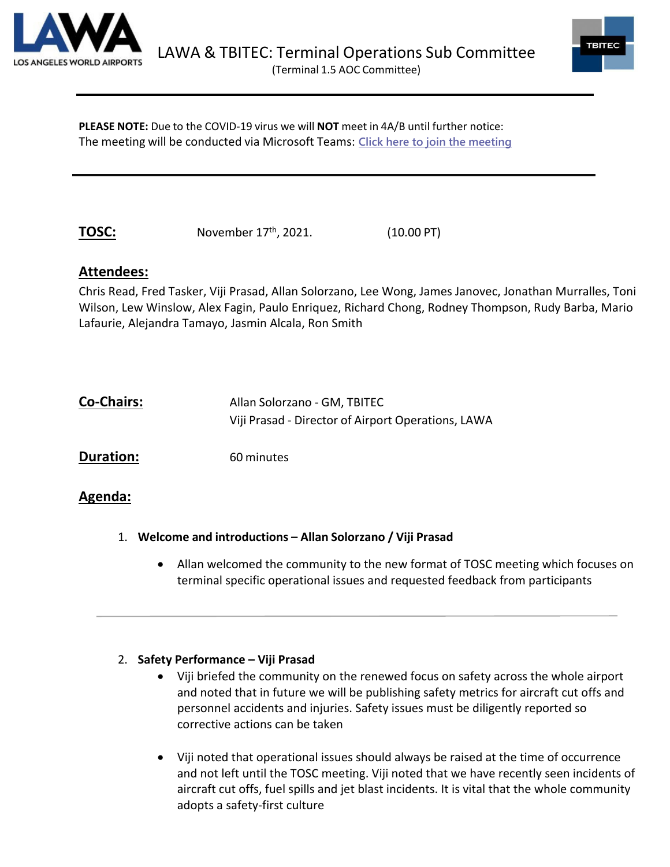



**PLEASE NOTE:** Due to the COVID-19 virus we will **NOT** meet in 4A/B until further notice: The meeting will be conducted via Microsoft Teams: **Click here to join the [meeting](https://teams.microsoft.com/l/meetup-join/19%3ameeting_ZDBhNWM3NDYtZmM2YS00NjhlLWEyODktNDFlYzU4N2MwYTI5%40thread.v2/0?context=%7b%22Tid%22%3a%22f0c22c7a-2b92-43e3-8f59-528927e9f438%22%2c%22Oid%22%3a%2296de0e66-65ac-4890-a178-20f8d991a0f0%22%7d)**

**TOSC:** November 17<sup>th</sup>, 2021. (10.00 PT)

# **Attendees:**

Chris Read, Fred Tasker, Viji Prasad, Allan Solorzano, Lee Wong, James Janovec, Jonathan Murralles, Toni Wilson, Lew Winslow, Alex Fagin, Paulo Enriquez, Richard Chong, Rodney Thompson, Rudy Barba, Mario Lafaurie, Alejandra Tamayo, Jasmin Alcala, Ron Smith

| <b>Co-Chairs:</b> | Allan Solorzano - GM, TBITEC                       |
|-------------------|----------------------------------------------------|
|                   | Viji Prasad - Director of Airport Operations, LAWA |

**Duration:** 60 minutes

## **Agenda:**

- 1. **Welcome and introductions – Allan Solorzano / Viji Prasad**
	- Allan welcomed the community to the new format of TOSC meeting which focuses on terminal specific operational issues and requested feedback from participants

## 2. **Safety Performance – Viji Prasad**

- Viji briefed the community on the renewed focus on safety across the whole airport and noted that in future we will be publishing safety metrics for aircraft cut offs and personnel accidents and injuries. Safety issues must be diligently reported so corrective actions can be taken
- Viji noted that operational issues should always be raised at the time of occurrence and not left until the TOSC meeting. Viji noted that we have recently seen incidents of aircraft cut offs, fuel spills and jet blast incidents. It is vital that the whole community adopts a safety-first culture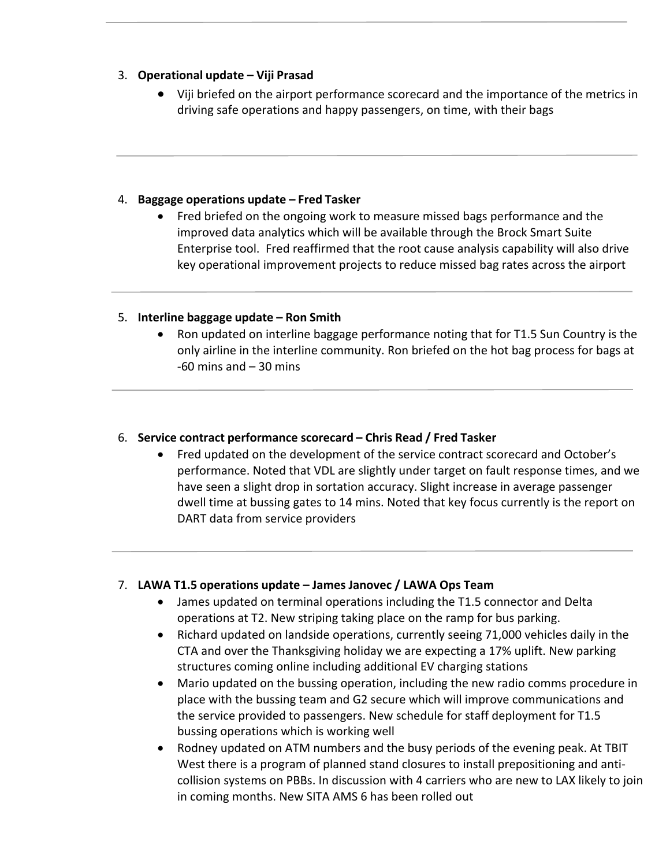### 3. **Operational update – Viji Prasad**

• Viji briefed on the airport performance scorecard and the importance of the metrics in driving safe operations and happy passengers, on time, with their bags

### 4. **Baggage operations update – Fred Tasker**

• Fred briefed on the ongoing work to measure missed bags performance and the improved data analytics which will be available through the Brock Smart Suite Enterprise tool. Fred reaffirmed that the root cause analysis capability will also drive key operational improvement projects to reduce missed bag rates across the airport

### 5. **Interline baggage update – Ron Smith**

• Ron updated on interline baggage performance noting that for T1.5 Sun Country is the only airline in the interline community. Ron briefed on the hot bag process for bags at  $-60$  mins and  $-30$  mins

### 6. **Service contract performance scorecard – Chris Read / Fred Tasker**

• Fred updated on the development of the service contract scorecard and October's performance. Noted that VDL are slightly under target on fault response times, and we have seen a slight drop in sortation accuracy. Slight increase in average passenger dwell time at bussing gates to 14 mins. Noted that key focus currently is the report on DART data from service providers

### 7. **LAWA T1.5 operations update – James Janovec / LAWA Ops Team**

- James updated on terminal operations including the T1.5 connector and Delta operations at T2. New striping taking place on the ramp for bus parking.
- Richard updated on landside operations, currently seeing 71,000 vehicles daily in the CTA and over the Thanksgiving holiday we are expecting a 17% uplift. New parking structures coming online including additional EV charging stations
- Mario updated on the bussing operation, including the new radio comms procedure in place with the bussing team and G2 secure which will improve communications and the service provided to passengers. New schedule for staff deployment for T1.5 bussing operations which is working well
- Rodney updated on ATM numbers and the busy periods of the evening peak. At TBIT West there is a program of planned stand closures to install prepositioning and anticollision systems on PBBs. In discussion with 4 carriers who are new to LAX likely to join in coming months. New SITA AMS 6 has been rolled out